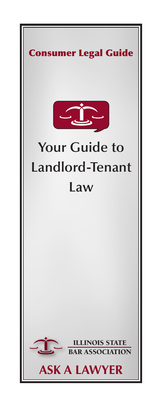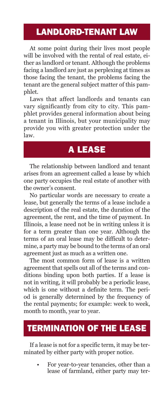#### LANDLORD-TENANT LAW

At some point during their lives most people will be involved with the rental of real estate, either as landlord or tenant. Although the problems facing a landlord are just as perplexing at times as those facing the tenant, the problems facing the tenant are the general subject matter of this pamphlet.

Laws that affect landlords and tenants can vary significantly from city to city. This pamphlet provides general information about being a tenant in Illinois, but your municipality may provide you with greater protection under the law.

#### A LEASE

The relationship between landlord and tenant arises from an agreement called a lease by which one party occupies the real estate of another with the owner's consent.

No particular words are necessary to create a lease, but generally the terms of a lease include a description of the real estate, the duration of the agreement, the rent, and the time of payment. In Illinois, a lease need not be in writing unless it is for a term greater than one year. Although the terms of an oral lease may be difficult to determine, a party may be bound to the terms of an oral agreement just as much as a written one.

The most common form of lease is a written agreement that spells out all of the terms and conditions binding upon both parties. If a lease is not in writing, it will probably be a periodic lease, which is one without a definite term. The period is generally determined by the frequency of the rental payments; for example: week to week, month to month, year to year.

# TERMINATION OF THE LEASE

If a lease is not for a specific term, it may be terminated by either party with proper notice.

> • For year-to-year tenancies, other than a lease of farmland, either party may ter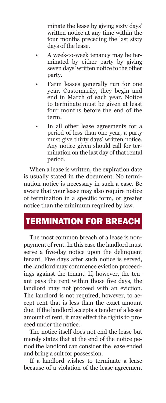minate the lease by giving sixty days' written notice at any time within the four months preceding the last sixty days of the lease.

- A week-to-week tenancy may be terminated by either party by giving seven days' written notice to the other party.
- Farm leases generally run for one year. Customarily, they begin and end in March of each year. Notice to terminate must be given at least four months before the end of the term.
- In all other lease agreements for a period of less than one year, a party must give thirty days' written notice. Any notice given should call for termination on the last day of that rental period.

When a lease is written, the expiration date is usually stated in the document. No termination notice is necessary in such a case. Be aware that your lease may also require notice of termination in a specific form, or greater notice than the minimum required by law.

# TERMINATION FOR BREACH

The most common breach of a lease is nonpayment of rent. In this case the landlord must serve a five-day notice upon the delinquent tenant. Five days after such notice is served, the landlord may commence eviction proceedings against the tenant. If, however, the tenant pays the rent within those five days, the landlord may not proceed with an eviction. The landlord is not required, however, to accept rent that is less than the exact amount due. If the landlord accepts a tender of a lesser amount of rent, it may effect the rights to proceed under the notice.

The notice itself does not end the lease but merely states that at the end of the notice period the landlord can consider the lease ended and bring a suit for possession.

If a landlord wishes to terminate a lease because of a violation of the lease agreement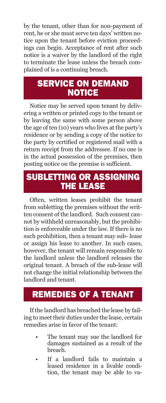by the tenant, other than for non-payment of rent, he or she must serve ten days' written notice upon the tenant before eviction proceedings can begin. Acceptance of rent after such notice is a waiver by the landlord of the right to terminate the lease unless the breach complained of is a continuing breach.

### SERVICE ON DEMAND **NOTICE**

Notice may be served upon tenant by delivering a written or printed copy to the tenant or by leaving the same with some person above the age of ten (10) years who lives at the party's residence or by sending a copy of the notice to the party by certified or registered mail with a return receipt from the addressee. If no one is in the actual possession of the premises, then posting notice on the premise is sufficient.

### SUBLETTING OR ASSIGNING THE LEASE

Often, written leases prohibit the tenant from subletting the premises without the written consent of the landlord. Such consent cannot by withheld unreasonably, but the prohibition is enforceable under the law. If there is no such prohibition, then a tenant may sub- lease or assign his lease to another. In such cases, however, the tenant will remain responsible to the landlord unless the landlord releases the original tenant. A breach of the sub-lease will not change the initial relationship between the landlord and tenant.

# REMEDIES OF A TENANT

If the landlord has breached the lease by failing to meet their duties under the lease, certain remedies arise in favor of the tenant:

- The tenant may sue the landlord for damages sustained as a result of the breach.
- If a landlord fails to maintain a leased residence in a livable condition, the tenant may be able to va-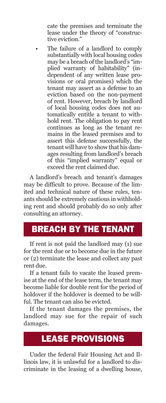cate the premises and terminate the lease under the theory of "constructive eviction."

The failure of a landlord to comply substantially with local housing codes may be a breach of the landlord's "implied warranty of habitability" (independent of any written lease provisions or oral promises) which the tenant may assert as a defense to an eviction based on the non-payment of rent. However, breach by landlord of local housing codes does not automatically entitle a tenant to withhold rent. The obligation to pay rent continues as long as the tenant remains in the leased premises and to assert this defense successfully, the tenant will have to show that his damages resulting from landlord's breach of this "implied warranty" equal or exceed the rent claimed due.

A landlord's breach and tenant's damages may be difficult to prove. Because of the limited and technical nature of these rules, tenants should be extremely cautious in withholding rent and should probably do so only after consulting an attorney.

### BREACH BY THE TENANT

If rent is not paid the landlord may (1) sue for the rent due or to become due in the future or (2) terminate the lease and collect any past rent due.

If a tenant fails to vacate the leased premise at the end of the lease term, the tenant may become liable for double rent for the period of holdover if the holdover is deemed to be willful. The tenant can also be evicted.

If the tenant damages the premises, the landlord may sue for the repair of such damages.

# LEASE PROVISIONS

Under the federal Fair Housing Act and Illinois law, it is unlawful for a landlord to discriminate in the leasing of a dwelling house,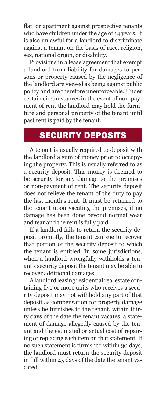flat, or apartment against prospective tenants who have children under the age of 14 years. It is also unlawful for a landlord to discriminate against a tenant on the basis of race, religion, sex, national origin, or disability.

Provisions in a lease agreement that exempt a landlord from liability for damages to persons or property caused by the negligence of the landlord are viewed as being against public policy and are therefore unenforceable. Under certain circumstances in the event of non-payment of rent the landlord may hold the furniture and personal property of the tenant until past rent is paid by the tenant.

#### SECURITY DEPOSITS

A tenant is usually required to deposit with the landlord a sum of money prior to occupying the property. This is usually referred to as a security deposit. This money is deemed to be security for any damage to the premises or non-payment of rent. The security deposit does not relieve the tenant of the duty to pay the last month's rent. It must be returned to the tenant upon vacating the premises, if no damage has been done beyond normal wear and tear and the rent is fully paid.

If a landlord fails to return the security deposit promptly, the tenant can sue to recover that portion of the security deposit to which the tenant is entitled. In some jurisdictions, when a landlord wrongfully withholds a tenant's security deposit the tenant may be able to recover additional damages.

A landlord leasing residential real estate containing five or more units who receives a security deposit may not withhold any part of that deposit as compensation for property damage unless he furnishes to the tenant, within thirty days of the date the tenant vacates, a statement of damage allegedly caused by the tenant and the estimated or actual cost of repairing or replacing each item on that statement. If no such statement is furnished within 30 days, the landlord must return the security deposit in full within 45 days of the date the tenant vacated.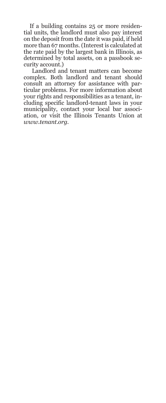If a building contains 25 or more residential units, the landlord must also pay interest on the deposit from the date it was paid, if held more than 67 months. (Interest is calculated at the rate paid by the largest bank in Illinois, as determined by total assets, on a passbook security account.)

 Landlord and tenant matters can become complex. Both landlord and tenant should consult an attorney for assistance with particular problems. For more information about your rights and responsibilities as a tenant, including specific landlord-tenant laws in your municipality, contact your local bar association, or visit the Illinois Tenants Union at *www.tenant.org.*